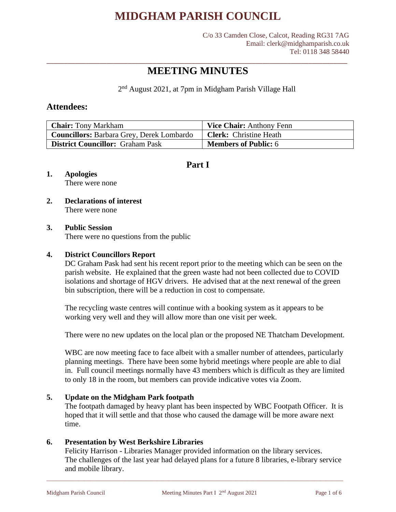C/o 33 Camden Close, Calcot, Reading RG31 7AG Email: clerk@midghamparish.co.uk Tel: 0118 348 58440

### \_\_\_\_\_\_\_\_\_\_\_\_\_\_\_\_\_\_\_\_\_\_\_\_\_\_\_\_\_\_\_\_\_\_\_\_\_\_\_\_\_\_\_\_\_\_\_\_\_\_\_\_\_\_\_\_\_\_\_\_\_\_\_\_\_\_\_\_\_\_\_\_\_\_\_\_\_\_\_\_\_\_\_\_\_ **MEETING MINUTES**

2<sup>nd</sup> August 2021, at 7pm in Midgham Parish Village Hall

### **Attendees:**

| <b>Chair:</b> Tony Markham                       | <b>Vice Chair:</b> Anthony Fenn |
|--------------------------------------------------|---------------------------------|
| <b>Councillors:</b> Barbara Grey, Derek Lombardo | <b>Clerk:</b> Christine Heath   |
| <b>District Councillor:</b> Graham Pask          | <b>Members of Public: 6</b>     |

### **Part I**

### **1. Apologies**

There were none

#### **2. Declarations of interest** There were none

#### **3. Public Session**

There were no questions from the public

#### **4. District Councillors Report**

DC Graham Pask had sent his recent report prior to the meeting which can be seen on the parish website. He explained that the green waste had not been collected due to COVID isolations and shortage of HGV drivers. He advised that at the next renewal of the green bin subscription, there will be a reduction in cost to compensate.

The recycling waste centres will continue with a booking system as it appears to be working very well and they will allow more than one visit per week.

There were no new updates on the local plan or the proposed NE Thatcham Development.

WBC are now meeting face to face albeit with a smaller number of attendees, particularly planning meetings. There have been some hybrid meetings where people are able to dial in. Full council meetings normally have 43 members which is difficult as they are limited to only 18 in the room, but members can provide indicative votes via Zoom.

#### **5. Update on the Midgham Park footpath**

The footpath damaged by heavy plant has been inspected by WBC Footpath Officer. It is hoped that it will settle and that those who caused the damage will be more aware next time.

#### **6. Presentation by West Berkshire Libraries**

Felicity Harrison - Libraries Manager provided information on the library services. The challenges of the last year had delayed plans for a future 8 libraries, e-library service and mobile library.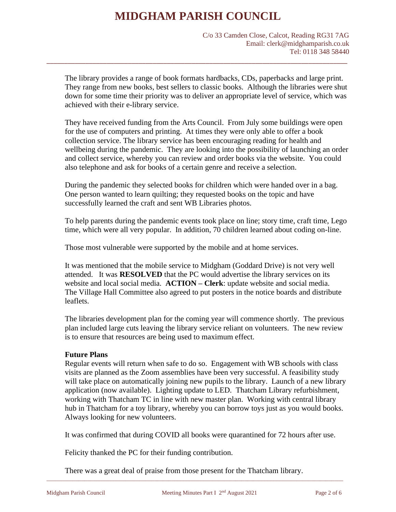\_\_\_\_\_\_\_\_\_\_\_\_\_\_\_\_\_\_\_\_\_\_\_\_\_\_\_\_\_\_\_\_\_\_\_\_\_\_\_\_\_\_\_\_\_\_\_\_\_\_\_\_\_\_\_\_\_\_\_\_\_\_\_\_\_\_\_\_\_\_\_\_\_\_\_\_\_\_\_\_\_\_\_\_\_

C/o 33 Camden Close, Calcot, Reading RG31 7AG Email: clerk@midghamparish.co.uk Tel: 0118 348 58440

The library provides a range of book formats hardbacks, CDs, paperbacks and large print. They range from new books, best sellers to classic books. Although the libraries were shut down for some time their priority was to deliver an appropriate level of service, which was achieved with their e-library service.

They have received funding from the Arts Council. From July some buildings were open for the use of computers and printing. At times they were only able to offer a book collection service. The library service has been encouraging reading for health and wellbeing during the pandemic. They are looking into the possibility of launching an order and collect service, whereby you can review and order books via the website. You could also telephone and ask for books of a certain genre and receive a selection.

During the pandemic they selected books for children which were handed over in a bag. One person wanted to learn quilting; they requested books on the topic and have successfully learned the craft and sent WB Libraries photos.

To help parents during the pandemic events took place on line; story time, craft time, Lego time, which were all very popular. In addition, 70 children learned about coding on-line.

Those most vulnerable were supported by the mobile and at home services.

It was mentioned that the mobile service to Midgham (Goddard Drive) is not very well attended. It was **RESOLVED** that the PC would advertise the library services on its website and local social media. **ACTION – Clerk**: update website and social media. The Village Hall Committee also agreed to put posters in the notice boards and distribute leaflets.

The libraries development plan for the coming year will commence shortly. The previous plan included large cuts leaving the library service reliant on volunteers. The new review is to ensure that resources are being used to maximum effect.

#### **Future Plans**

Regular events will return when safe to do so. Engagement with WB schools with class visits are planned as the Zoom assemblies have been very successful. A feasibility study will take place on automatically joining new pupils to the library. Launch of a new library application (now available). Lighting update to LED. Thatcham Library refurbishment, working with Thatcham TC in line with new master plan. Working with central library hub in Thatcham for a toy library, whereby you can borrow toys just as you would books. Always looking for new volunteers.

It was confirmed that during COVID all books were quarantined for 72 hours after use.

Felicity thanked the PC for their funding contribution.

There was a great deal of praise from those present for the Thatcham library.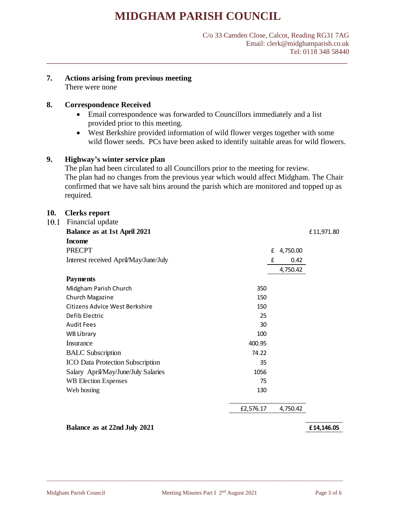\_\_\_\_\_\_\_\_\_\_\_\_\_\_\_\_\_\_\_\_\_\_\_\_\_\_\_\_\_\_\_\_\_\_\_\_\_\_\_\_\_\_\_\_\_\_\_\_\_\_\_\_\_\_\_\_\_\_\_\_\_\_\_\_\_\_\_\_\_\_\_\_\_\_\_\_\_\_\_\_\_\_\_\_\_

#### **7. Actions arising from previous meeting**

There were none

#### **8. Correspondence Received**

- Email correspondence was forwarded to Councillors immediately and a list provided prior to this meeting.
- West Berkshire provided information of wild flower verges together with some wild flower seeds. PCs have been asked to identify suitable areas for wild flowers.

#### **9. Highway's winter service plan**

The plan had been circulated to all Councillors prior to the meeting for review. The plan had no changes from the previous year which would affect Midgham. The Chair confirmed that we have salt bins around the parish which are monitored and topped up as required.

#### **10. Clerks report**

| 10.1 | Financial update                        |           |               |            |
|------|-----------------------------------------|-----------|---------------|------------|
|      | <b>Balance as at 1st April 2021</b>     |           |               | £11,971.80 |
|      | <b>Income</b>                           |           |               |            |
|      | <b>PRECPT</b>                           |           | £<br>4,750.00 |            |
|      | Interest received April/May/June/July   |           | 0.42<br>£     |            |
|      |                                         |           | 4,750.42      |            |
|      | <b>Payments</b>                         |           |               |            |
|      | Midgham Parish Church                   | 350       |               |            |
|      | Church Magazine                         | 150       |               |            |
|      | Citizens Advice West Berkshire          | 150       |               |            |
|      | Defib Electric                          | 25        |               |            |
|      | <b>Audit Fees</b>                       | 30        |               |            |
|      | <b>WB Library</b>                       | 100       |               |            |
|      | Insurance                               | 400.95    |               |            |
|      | <b>BALC</b> Subscription                | 74.22     |               |            |
|      | <b>ICO Data Protection Subscription</b> | 35        |               |            |
|      | Salary April/May/June/July Salaries     | 1056      |               |            |
|      | <b>WB Election Expenses</b>             | 75        |               |            |
|      | Web hosting                             | 130       |               |            |
|      |                                         | £2,576.17 | 4,750.42      |            |

#### **Balance as at 22nd July 2021** *£14,146.05*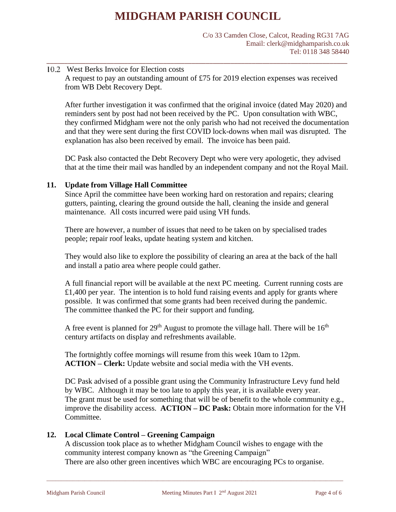C/o 33 Camden Close, Calcot, Reading RG31 7AG Email: clerk@midghamparish.co.uk Tel: 0118 348 58440

#### 10.2 West Berks Invoice for Election costs A request to pay an outstanding amount of £75 for 2019 election expenses was received from WB Debt Recovery Dept.

\_\_\_\_\_\_\_\_\_\_\_\_\_\_\_\_\_\_\_\_\_\_\_\_\_\_\_\_\_\_\_\_\_\_\_\_\_\_\_\_\_\_\_\_\_\_\_\_\_\_\_\_\_\_\_\_\_\_\_\_\_\_\_\_\_\_\_\_\_\_\_\_\_\_\_\_\_\_\_\_\_\_\_\_\_

After further investigation it was confirmed that the original invoice (dated May 2020) and reminders sent by post had not been received by the PC. Upon consultation with WBC, they confirmed Midgham were not the only parish who had not received the documentation and that they were sent during the first COVID lock-downs when mail was disrupted. The explanation has also been received by email. The invoice has been paid.

DC Pask also contacted the Debt Recovery Dept who were very apologetic, they advised that at the time their mail was handled by an independent company and not the Royal Mail.

#### **11. Update from Village Hall Committee**

Since April the committee have been working hard on restoration and repairs; clearing gutters, painting, clearing the ground outside the hall, cleaning the inside and general maintenance. All costs incurred were paid using VH funds.

There are however, a number of issues that need to be taken on by specialised trades people; repair roof leaks, update heating system and kitchen.

They would also like to explore the possibility of clearing an area at the back of the hall and install a patio area where people could gather.

A full financial report will be available at the next PC meeting. Current running costs are  $£1,400$  per year. The intention is to hold fund raising events and apply for grants where possible. It was confirmed that some grants had been received during the pandemic. The committee thanked the PC for their support and funding.

A free event is planned for  $29<sup>th</sup>$  August to promote the village hall. There will be  $16<sup>th</sup>$ century artifacts on display and refreshments available.

The fortnightly coffee mornings will resume from this week 10am to 12pm. **ACTION – Clerk:** Update website and social media with the VH events.

DC Pask advised of a possible grant using the Community Infrastructure Levy fund held by WBC. Although it may be too late to apply this year, it is available every year. The grant must be used for something that will be of benefit to the whole community e.g., improve the disability access. **ACTION – DC Pask:** Obtain more information for the VH Committee.

#### **12. Local Climate Control – Greening Campaign**

A discussion took place as to whether Midgham Council wishes to engage with the community interest company known as "the Greening Campaign" There are also other green incentives which WBC are encouraging PCs to organise.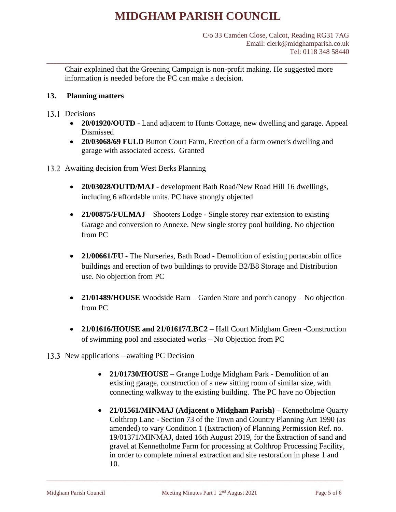Chair explained that the Greening Campaign is non-profit making. He suggested more information is needed before the PC can make a decision.

\_\_\_\_\_\_\_\_\_\_\_\_\_\_\_\_\_\_\_\_\_\_\_\_\_\_\_\_\_\_\_\_\_\_\_\_\_\_\_\_\_\_\_\_\_\_\_\_\_\_\_\_\_\_\_\_\_\_\_\_\_\_\_\_\_\_\_\_\_\_\_\_\_\_\_\_\_\_\_\_\_\_\_\_\_

#### **13. Planning matters**

#### 13.1 Decisions

- **20/01920/OUTD** Land adjacent to Hunts Cottage, new dwelling and garage. Appeal Dismissed
- **20/03068/69 FULD** Button Court Farm, Erection of a farm owner's dwelling and garage with associated access. Granted
- 13.2 Awaiting decision from West Berks Planning
	- **20/03028/OUTD/MAJ** development Bath Road/New Road Hill 16 dwellings, including 6 affordable units. PC have strongly objected
	- **21/00875/FULMAJ** Shooters Lodge Single storey rear extension to existing Garage and conversion to Annexe. New single storey pool building. No objection from PC
	- **21/00661/FU** The Nurseries, Bath Road Demolition of existing portacabin office buildings and erection of two buildings to provide B2/B8 Storage and Distribution use. No objection from PC
	- **21/01489/HOUSE** Woodside Barn Garden Store and porch canopy No objection from PC
	- **21/01616/HOUSE and 21/01617/LBC2** Hall Court Midgham Green -Construction of swimming pool and associated works – No Objection from PC
- 13.3 New applications awaiting PC Decision
	- **21/01730/HOUSE –** Grange Lodge Midgham Park Demolition of an existing garage, construction of a new sitting room of similar size, with connecting walkway to the existing building. The PC have no Objection
	- **21/01561/MINMAJ (Adjacent o Midgham Parish)**  Kennetholme Quarry Colthrop Lane - Section 73 of the Town and Country Planning Act 1990 (as amended) to vary Condition 1 (Extraction) of Planning Permission Ref. no. 19/01371/MINMAJ, dated 16th August 2019, for the Extraction of sand and gravel at Kennetholme Farm for processing at Colthrop Processing Facility, in order to complete mineral extraction and site restoration in phase 1 and 10.